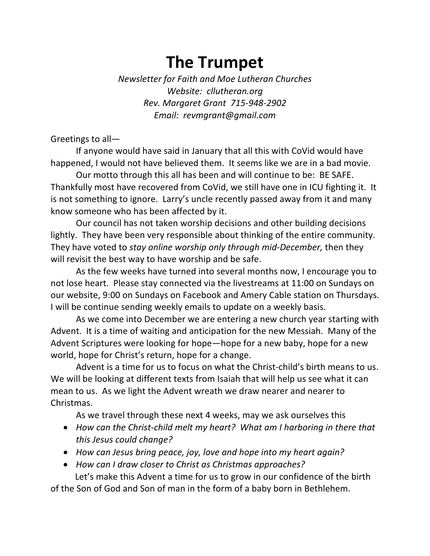# **The Trumpet**

*Newsletter for Faith and Moe Lutheran Churches Website: cllutheran.org Rev. Margaret Grant 715-948-2902 Email: revmgrant@gmail.com*

Greetings to all—

If anyone would have said in January that all this with CoVid would have happened, I would not have believed them. It seems like we are in a bad movie.

Our motto through this all has been and will continue to be: BE SAFE. Thankfully most have recovered from CoVid, we still have one in ICU fighting it. It is not something to ignore. Larry's uncle recently passed away from it and many know someone who has been affected by it.

Our council has not taken worship decisions and other building decisions lightly. They have been very responsible about thinking of the entire community. They have voted to *stay online worship only through mid-December,* then they will revisit the best way to have worship and be safe.

As the few weeks have turned into several months now, I encourage you to not lose heart. Please stay connected via the livestreams at 11:00 on Sundays on our website, 9:00 on Sundays on Facebook and Amery Cable station on Thursdays. I will be continue sending weekly emails to update on a weekly basis.

As we come into December we are entering a new church year starting with Advent. It is a time of waiting and anticipation for the new Messiah. Many of the Advent Scriptures were looking for hope—hope for a new baby, hope for a new world, hope for Christ's return, hope for a change.

Advent is a time for us to focus on what the Christ-child's birth means to us. We will be looking at different texts from Isaiah that will help us see what it can mean to us. As we light the Advent wreath we draw nearer and nearer to Christmas.

As we travel through these next 4 weeks, may we ask ourselves this

- *How can the Christ-child melt my heart? What am I harboring in there that this Jesus could change?*
- *How can Jesus bring peace, joy, love and hope into my heart again?*
- *How can I draw closer to Christ as Christmas approaches?*

 Let's make this Advent a time for us to grow in our confidence of the birth of the Son of God and Son of man in the form of a baby born in Bethlehem.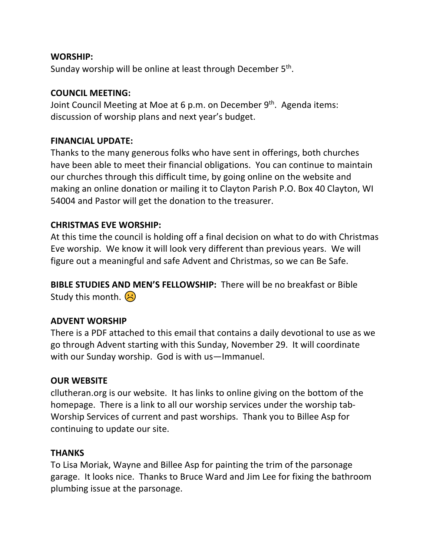#### **WORSHIP:**

Sunday worship will be online at least through December 5th.

#### **COUNCIL MEETING:**

Joint Council Meeting at Moe at 6 p.m. on December  $9<sup>th</sup>$ . Agenda items: discussion of worship plans and next year's budget.

### **FINANCIAL UPDATE:**

Thanks to the many generous folks who have sent in offerings, both churches have been able to meet their financial obligations. You can continue to maintain our churches through this difficult time, by going online on the website and making an online donation or mailing it to Clayton Parish P.O. Box 40 Clayton, WI 54004 and Pastor will get the donation to the treasurer.

### **CHRISTMAS EVE WORSHIP:**

At this time the council is holding off a final decision on what to do with Christmas Eve worship. We know it will look very different than previous years. We will figure out a meaningful and safe Advent and Christmas, so we can Be Safe.

**BIBLE STUDIES AND MEN'S FELLOWSHIP:** There will be no breakfast or Bible Study this month.  $\left(\cdot\right)$ 

## **ADVENT WORSHIP**

There is a PDF attached to this email that contains a daily devotional to use as we go through Advent starting with this Sunday, November 29. It will coordinate with our Sunday worship. God is with us—Immanuel.

#### **OUR WEBSITE**

cllutheran.org is our website. It has links to online giving on the bottom of the homepage. There is a link to all our worship services under the worship tab-Worship Services of current and past worships. Thank you to Billee Asp for continuing to update our site.

#### **THANKS**

To Lisa Moriak, Wayne and Billee Asp for painting the trim of the parsonage garage. It looks nice. Thanks to Bruce Ward and Jim Lee for fixing the bathroom plumbing issue at the parsonage.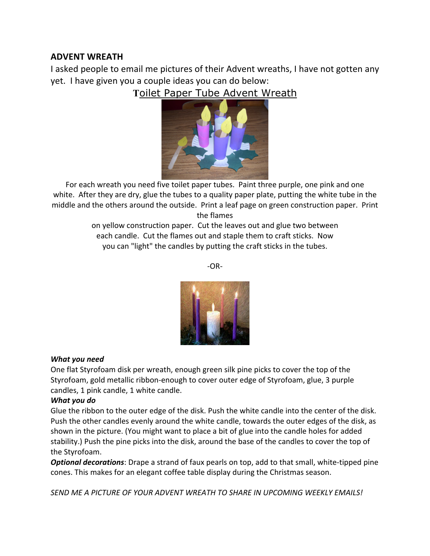#### **ADVENT WREATH**

I asked people to email me pictures of their Advent wreaths, I have not gotten any yet. I have given you a couple ideas you can do below:

**T**oilet Paper Tube Advent Wreath



For each wreath you need five toilet paper tubes. Paint three purple, one pink and one white. After they are dry, glue the tubes to a quality paper plate, putting the white tube in the middle and the others around the outside. Print a leaf page on green construction paper. Print the flames

> on yellow construction paper. Cut the leaves out and glue two between each candle. Cut the flames out and staple them to craft sticks. Now you can "light" the candles by putting the craft sticks in the tubes.

> > -OR-



#### *What you need*

One flat Styrofoam disk per wreath, enough green silk pine picks to cover the top of the Styrofoam, gold metallic ribbon-enough to cover outer edge of Styrofoam, glue, 3 purple candles, 1 pink candle, 1 white candle.

#### *What you do*

Glue the ribbon to the outer edge of the disk. Push the white candle into the center of the disk. Push the other candles evenly around the white candle, towards the outer edges of the disk, as shown in the picture. (You might want to place a bit of glue into the candle holes for added stability.) Push the pine picks into the disk, around the base of the candles to cover the top of the Styrofoam.

*Optional decorations*: Drape a strand of faux pearls on top, add to that small, white-tipped pine cones. This makes for an elegant coffee table display during the Christmas season.

*SEND ME A PICTURE OF YOUR ADVENT WREATH TO SHARE IN UPCOMING WEEKLY EMAILS!*